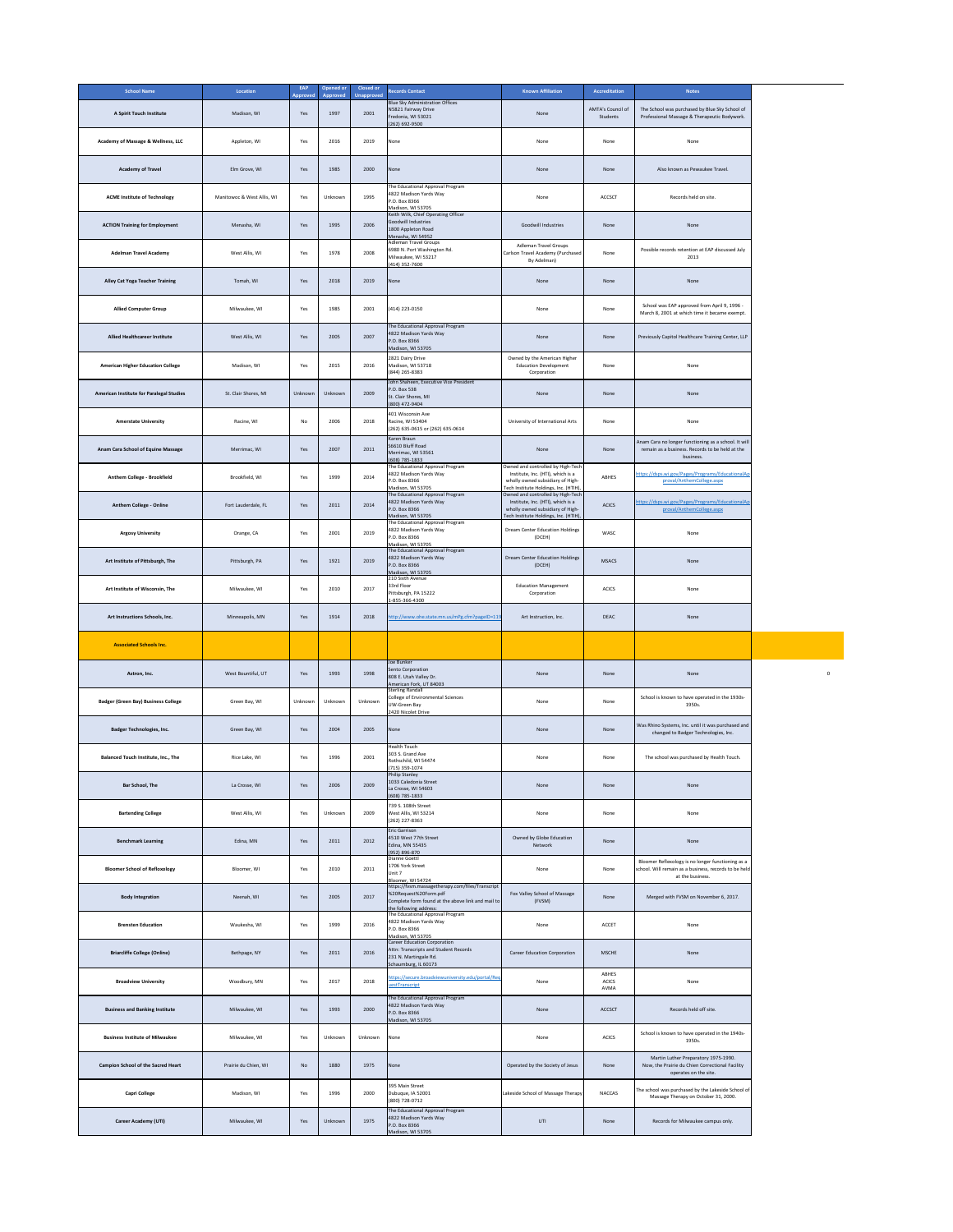| <b>School Name</b>                         | Location                   | <b>EAP</b><br><b>Approved</b> | Opened or<br>Approved | <b>Closed or</b><br><b>Unapproved</b> | <b>Records Contact</b>                                                                                                                                   | <b>Known Affiliation</b>                                                                                                                            | <b>Accreditation</b>          | <b>Notes</b>                                                                                                                   |
|--------------------------------------------|----------------------------|-------------------------------|-----------------------|---------------------------------------|----------------------------------------------------------------------------------------------------------------------------------------------------------|-----------------------------------------------------------------------------------------------------------------------------------------------------|-------------------------------|--------------------------------------------------------------------------------------------------------------------------------|
| A Spirit Touch Institute                   | Madison, WI                | Yes                           | 1997                  | 2001                                  | <b>Blue Sky Administration Offices</b><br>N5821 Fairway Drive<br>Fredonia, WI 53021<br>(262) 692-9500                                                    | None                                                                                                                                                | AMTA's Council of<br>Students | The School was purchased by Blue Sky School of<br>Professional Massage & Therapeutic Bodywork.                                 |
| Academy of Massage & Wellness, LLC         | Appleton, WI               | Yes                           | 2016                  | 2019                                  | None                                                                                                                                                     | None                                                                                                                                                | None                          | None                                                                                                                           |
| <b>Academy of Travel</b>                   | Elm Grove, WI              | Yes                           | 1985                  | 2000                                  | None                                                                                                                                                     | None                                                                                                                                                | None                          | Also known as Pewaukee Travel.                                                                                                 |
| <b>ACME Institute of Technology</b>        | Manitowoc & West Allis, WI | Yes                           | Unknown               | 1995                                  | The Educational Approval Program<br>4822 Madison Yards Way<br>P.O. Box 8366<br>Madison, WI 53705                                                         | None                                                                                                                                                | <b>ACCSCT</b>                 | Records held on site.                                                                                                          |
| <b>ACTION Training for Employment</b>      | Menasha, WI                | Yes                           | 1995                  | 2006                                  | Keith Wilk, Chief Operating Officer<br>Goodwill Industries<br>1800 Appleton Road<br>Menasha, WI 54952                                                    | <b>Goodwill Industries</b>                                                                                                                          | None                          | None                                                                                                                           |
| <b>Adelman Travel Academy</b>              | West Allis, WI             | Yes                           | 1978                  | 2008                                  | <b>Adleman Travel Groups</b><br>6980 N. Port Washington Rd.<br>Milwaukee, WI 53217<br>(414) 352-7600                                                     | <b>Adleman Travel Groups</b><br>Carlson Travel Academy (Purchased<br>By Adelman)                                                                    | None                          | Possible records retention at EAP discussed July<br>2013                                                                       |
| <b>Alley Cat Yoga Teacher Training</b>     | Tomah, WI                  | Yes                           | 2018                  | 2019                                  | None                                                                                                                                                     | None                                                                                                                                                | None                          | None                                                                                                                           |
| <b>Allied Computer Group</b>               | Milwaukee, WI              | Yes                           | 1985                  | 2001                                  | (414) 223-0150                                                                                                                                           | None                                                                                                                                                | None                          | School was EAP approved from April 9, 1996 -<br>March 8, 2001 at which time it became exempt.                                  |
| <b>Allied Healthcareer Institute</b>       | West Allis, WI             | Yes                           | 2005                  | 2007                                  | The Educational Approval Program<br>4822 Madison Yards Way<br>P.O. Box 8366<br>Madison, WI 53705                                                         | None                                                                                                                                                | None                          | Previously Capitol Healthcare Training Center, LLP                                                                             |
| <b>American Higher Education College</b>   | Madison, WI                | Yes                           | 2015                  | 2016                                  | 2821 Dairy Drive<br>Madison, WI 53718<br>(844) 265-8383                                                                                                  | Owned by the American Higher<br><b>Education Development</b><br>Corporation                                                                         | None                          | None                                                                                                                           |
| American Institute for Paralegal Studies   | St. Clair Shores, MI       | Unknown                       | Unknown               | 2009                                  | John Shaheen, Executive Vice President<br>P.O. Box 538<br>St. Clair Shores, MI<br>(800) 472-9404                                                         | None                                                                                                                                                | None                          | None                                                                                                                           |
| <b>Amerstate University</b>                | Racine, WI                 | No                            | 2006                  | 2018                                  | 401 Wisconsin Ave<br>Racine, WI 53404<br>(262) 635-0615 or (262) 635-0614                                                                                | University of International Arts                                                                                                                    | None                          | None                                                                                                                           |
| Anam Cara School of Equine Massage         | Merrimac, WI               | Yes                           | 2007                  | 2011                                  | Karen Braun<br>S6610 Bluff Road<br>Merrimac, WI 53561<br>(608) 785-1833                                                                                  | None                                                                                                                                                | None                          | Anam Cara no longer functioning as a school. It will<br>remain as a business. Records to be held at the<br>business.           |
| Anthem College - Brookfield                | Brookfield, WI             | Yes                           | 1999                  | 2014                                  | The Educational Approval Program<br>4822 Madison Yards Way<br>P.O. Box 8366<br>Madison, WI 53705                                                         | Owned and controlled by High-Tech<br>Institute, Inc. (HTI), which is a<br>wholly owned subsidiary of High-<br>Tech Institute Holdings, Inc. (HTIH), | ABHES                         | https://dsps.wi.gov/Pages/Programs/EducationalAp<br>proval/AnthemCollege.aspx                                                  |
| <b>Anthem College - Online</b>             | Fort Lauderdale, FL        | Yes                           | 2011                  | 2014                                  | The Educational Approval Program<br>4822 Madison Yards Way<br>P.O. Box 8366<br>Madison, WI 53705                                                         | Owned and controlled by High-Tech<br>Institute, Inc. (HTI), which is a<br>wholly owned subsidiary of High-<br>Tech Institute Holdings, Inc. (HTIH), | <b>ACICS</b>                  | https://dsps.wi.gov/Pages/Programs/EducationalAp<br>proval/AnthemCollege.aspx                                                  |
| <b>Argosy University</b>                   | Orange, CA                 | Yes                           | 2001                  | 2019                                  | The Educational Approval Program<br>4822 Madison Yards Way<br>P.O. Box 8366<br>Madison, WI 53705                                                         | <b>Dream Center Education Holdings</b><br>(DCEH)                                                                                                    | WASC                          | None                                                                                                                           |
| Art Institute of Pittsburgh, The           | Pittsburgh, PA             | Yes                           | 1921                  | 2019                                  | The Educational Approval Program<br>4822 Madison Yards Way<br>P.O. Box 8366<br>Madison, WI 53705                                                         | Dream Center Education Holdings<br>(DCEH)                                                                                                           | <b>MSACS</b>                  | None                                                                                                                           |
| Art Institute of Wisconsin, The            | Milwaukee, WI              | Yes                           | 2010                  | 2017                                  | 210 Sixth Avenue<br>33rd Floor<br>Pittsburgh, PA 15222<br>1-855-366-4300                                                                                 | <b>Education Management</b><br>Corporation                                                                                                          | <b>ACICS</b>                  | None                                                                                                                           |
| Art Instructions Schools, Inc.             | Minneapolis, MN            | Yes                           | 1914                  | 2018                                  | http://www.ohe.state.mn.us/mPg.cfm?pageID=119                                                                                                            | Art Instruction, Inc.                                                                                                                               | <b>DEAC</b>                   | None                                                                                                                           |
| <b>Associated Schools Inc.</b>             |                            |                               |                       |                                       |                                                                                                                                                          |                                                                                                                                                     |                               |                                                                                                                                |
| Astron, Inc.                               | West Bountiful, UT         | Yes                           | 1993                  | 1998                                  | Joe Bunker<br>Sento Corporation<br>808 E. Utah Valley Dr.<br>American Fork, UT 84003                                                                     | None                                                                                                                                                | None                          | None                                                                                                                           |
| <b>Badger (Green Bay) Business College</b> | Green Bay, WI              | Unknown                       | Unknown               | Unknown                               | <b>Sterling Randall</b><br>College of Environmental Sciences<br>UW-Green Bay<br>2420 Nicolet Drive                                                       | None                                                                                                                                                | None                          | School is known to have operated in the 1930s-<br>1950s.                                                                       |
| <b>Badger Technologies, Inc.</b>           | Green Bay, WI              | Yes                           | 2004                  | 2005                                  | None                                                                                                                                                     | None                                                                                                                                                | None                          | Was Rhino Systems, Inc. until it was purchased and<br>changed to Badger Technologies, Inc.                                     |
| Balanced Touch Institute, Inc., The        | Rice Lake, WI              | Yes                           | 1996                  | 2001                                  | <b>Health Touch</b><br>303 S. Grand Ave<br>Rothschild, WI 54474<br>(715) 359-1074                                                                        | None                                                                                                                                                | None                          | The school was purchased by Health Touch.                                                                                      |
| <b>Bar School, The</b>                     | La Crosse, WI              | Yes                           | 2006                  | 2009                                  | <b>Philip Stanley</b><br>1033 Caledonia Street<br>La Crosse, WI 54603<br>(608) 785-1833                                                                  | None                                                                                                                                                | None                          | None                                                                                                                           |
| <b>Bartending College</b>                  | West Allis, WI             | Yes                           | Unknown               | 2009                                  | 739 S. 108th Street<br>West Allis, WI 53214<br>(262) 227-8363                                                                                            | None                                                                                                                                                | None                          | None                                                                                                                           |
| <b>Benchmark Learning</b>                  | Edina, MN                  | Yes                           | 2011                  | 2012                                  | <b>Eric Garrison</b><br>4510 West 77th Street<br>Edina, MN 55435<br>(952) 896-870                                                                        | Owned by Globe Education<br>Network                                                                                                                 | None                          | None                                                                                                                           |
| <b>Bloomer School of Refloxology</b>       | Bloomer, WI                | Yes                           | 2010                  | 2011                                  | Dianne Goettl<br>1706 York Street<br>Unit 7<br>Bloomer, WI 54724                                                                                         | None                                                                                                                                                | None                          | Bloomer Reflexology is no longer functioning as a<br>school. Will remain as a business, records to be held<br>at the business. |
| <b>Body Integration</b>                    | Neenah, WI                 | Yes                           | 2005                  | 2017                                  | https://fvsm.massagetherapy.com/files/Transcript<br>%20Request%20Form.pdf<br>Complete form found at the above link and mail to<br>the following address: | Fox Valley School of Massage<br>(FVSM)                                                                                                              | None                          | Merged with FVSM on November 6, 2017.                                                                                          |
| <b>Brensten Education</b>                  | Waukesha, WI               | Yes                           | 1999                  | 2016                                  | The Educational Approval Program<br>4822 Madison Yards Way<br>P.O. Box 8366<br>Madison, WI 53705                                                         | None                                                                                                                                                | ACCET                         | None                                                                                                                           |
| <b>Briarcliffe College (Online)</b>        | Bethpage, NY               | Yes                           | 2011                  | 2016                                  | <b>Career Education Corporation</b><br>Attn: Transcripts and Student Records<br>231 N. Martingale Rd.<br>Schaumburg, IL 60173                            | <b>Career Education Corporation</b>                                                                                                                 | <b>MSCHE</b>                  | None                                                                                                                           |
| <b>Broadview University</b>                | Woodbury, MN               | Yes                           | 2017                  | 2018                                  | https://secure.broadviewuniversity.edu/portal/Req<br>uestTranscript                                                                                      | None                                                                                                                                                | ABHES<br><b>ACICS</b><br>AVMA | None                                                                                                                           |
| <b>Business and Banking Institute</b>      | Milwaukee, WI              | Yes                           | 1993                  | 2000                                  | The Educational Approval Program<br>4822 Madison Yards Way<br>P.O. Box 8366<br>Madison, WI 53705                                                         | None                                                                                                                                                | <b>ACCSCT</b>                 | Records held off site.                                                                                                         |
| <b>Business Institute of Milwaukee</b>     | Milwaukee, WI              | Yes                           | Unknown               | Unknown                               | None                                                                                                                                                     | None                                                                                                                                                | <b>ACICS</b>                  | School is known to have operated in the 1940s-<br>1950s.                                                                       |
| <b>Campion School of the Sacred Heart</b>  | Prairie du Chien, WI       | <b>No</b>                     | 1880                  | 1975                                  | None                                                                                                                                                     | Operated by the Society of Jesus                                                                                                                    | None                          | Martin Luther Preparatory 1975-1990.<br>Now, the Prairie du Chien Correctional Facility<br>operates on the site.               |
| <b>Capri College</b>                       | Madison, WI                | Yes                           | 1996                  | 2000                                  | 395 Main Street<br>Dubuque, IA 52001<br>(800) 728-0712                                                                                                   | Lakeside School of Massage Therapy                                                                                                                  | <b>NACCAS</b>                 | The school was purchased by the Lakeside School of<br>Massage Therapy on October 31, 2000.                                     |
|                                            |                            |                               |                       |                                       | The Educational Approval Program<br>4822 Madison Yards Way                                                                                               |                                                                                                                                                     |                               | Records for Milwaukee campus only.                                                                                             |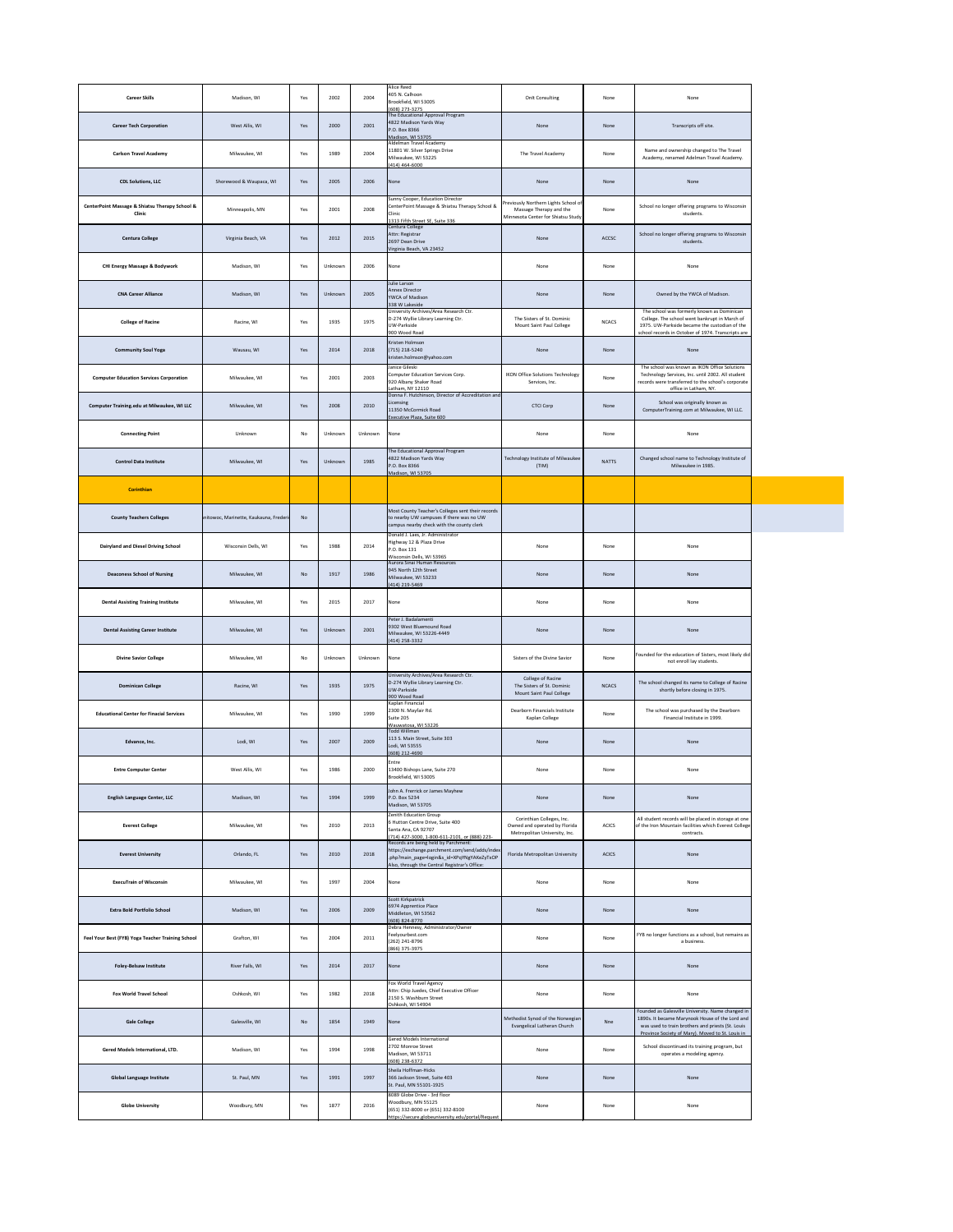| <b>Career Skills</b>                                                    | Madison, WI                            | Yes | 2002    | 2004    | <b>Alice Reed</b><br>405 N. Calhoon<br>Brookfield, WI 53005<br>(608) 273-3275                                                                                                         | Onlt Consulting                                                                                       | None         | None                                                                                                                                                                                                          |
|-------------------------------------------------------------------------|----------------------------------------|-----|---------|---------|---------------------------------------------------------------------------------------------------------------------------------------------------------------------------------------|-------------------------------------------------------------------------------------------------------|--------------|---------------------------------------------------------------------------------------------------------------------------------------------------------------------------------------------------------------|
| <b>Career Tech Corporation</b>                                          | West Allis, WI                         | Yes | 2000    | 2001    | The Educational Approval Program<br>4822 Madison Yards Way<br>P.O. Box 8366<br>Madison, WI 53705                                                                                      | None                                                                                                  | None         | Transcripts off site.                                                                                                                                                                                         |
| <b>Carlson Travel Academy</b>                                           | Milwaukee, WI                          | Yes | 1989    | 2004    | Aldelman Travel Academy<br>11801 W. Silver Springs Drive<br>Milwaukee, WI 53225<br>$(414)$ 464-6000                                                                                   | The Travel Academy                                                                                    | None         | Name and ownership changed to The Travel<br>Academy, renamed Adelman Travel Academy.                                                                                                                          |
| <b>CDL Solutions, LLC</b>                                               | Shorewood & Waupaca, WI                | Yes | 2005    | 2006    | None                                                                                                                                                                                  | None                                                                                                  | None         | None                                                                                                                                                                                                          |
| <b>CenterPoint Massage &amp; Shiatsu Therapy School &amp;</b><br>Clinic | Minneapolis, MN                        | Yes | 2001    | 2008    | Sunny Cooper, Education Director<br>CenterPoint Massage & Shiatsu Therapy School &<br>Clinic<br>1313 Fifth Street SE, Suite 336                                                       | Previously Northern Lights School of<br>Massage Therapy and the<br>Minnesota Center for Shiatsu Study | None         | School no longer offering programs to Wisconsin<br>students.                                                                                                                                                  |
| <b>Centura College</b>                                                  | Virginia Beach, VA                     | Yes | 2012    | 2015    | Centura College<br>Attn: Registrar<br>2697 Dean Drive<br>Virginia Beach, VA 23452                                                                                                     | None                                                                                                  | ACCSC        | School no longer offering programs to Wisconsin<br>students.                                                                                                                                                  |
| <b>CHI Energy Massage &amp; Bodywork</b>                                | Madison, WI                            | Yes | Unknown | 2006    | None                                                                                                                                                                                  | None                                                                                                  | None         | None                                                                                                                                                                                                          |
| <b>CNA Career Alliance</b>                                              | Madison, WI                            | Yes | Unknown | 2005    | Julie Larson<br><b>Annex Director</b><br>YWCA of Madison<br>338 W Lakeside                                                                                                            | None                                                                                                  | None         | Owned by the YWCA of Madison.                                                                                                                                                                                 |
| <b>College of Racine</b>                                                | Racine, WI                             | Yes | 1935    | 1975    | University Archives/Area Research Ctr.<br>D-274 Wyllie Library Learning Ctr.<br>UW-Parkside<br>900 Wood Road                                                                          | The Sisters of St. Dominic<br>Mount Saint Paul College                                                | <b>NCACS</b> | The school was formerly known as Dominican<br>College. The school went bankrupt in March of<br>1975. UW-Parkside became the custodian of the<br>school records in October of 1974. Transcripts are            |
| <b>Community Soul Yoga</b>                                              | Wausau, WI                             | Yes | 2014    | 2018    | Kristen Holmson<br>(715) 218-5240<br>kristen.holmson@yahoo.com                                                                                                                        | None                                                                                                  | None         | None                                                                                                                                                                                                          |
| <b>Computer Education Services Corporation</b>                          | Milwaukee, WI                          | Yes | 2001    | 2003    | Janice Gileski<br>Computer Education Services Corp.<br>920 Albany Shaker Road<br>Latham, NY 12110                                                                                     | <b>IKON Office Solutions Technology</b><br>Services, Inc.                                             | None         | The school was known as IKON Office Solutions<br>Technology Services, Inc. until 2002. All student<br>records were transferred to the school's corporate<br>office in Latham, NY.                             |
| Computer Training.edu at Milwaukee, WI LLC                              | Milwaukee, WI                          | Yes | 2008    | 2010    | Donna F. Hutchinson, Director of Accreditation and<br>Licensing<br>11350 McCormick Road<br>Executive Plaza, Suite 600                                                                 | <b>CTCI Corp</b>                                                                                      | None         | School was originally known as<br>ComputerTraining.com at Milwaukee, WI LLC.                                                                                                                                  |
| <b>Connecting Point</b>                                                 | Unknown                                | No  | Unknown | Unknown | None                                                                                                                                                                                  | None                                                                                                  | None         | None                                                                                                                                                                                                          |
| <b>Control Data Institute</b>                                           | Milwaukee, WI                          | Yes | Unknown | 1985    | The Educational Approval Program<br>4822 Madison Yards Way<br>P.O. Box 8366<br>Madison, WI 53705                                                                                      | Technology Institute of Milwaukee<br>(TIM)                                                            | <b>NATTS</b> | Changed school name to Technology Institute of<br>Milwaukee in 1985.                                                                                                                                          |
| Corinthian                                                              |                                        |     |         |         |                                                                                                                                                                                       |                                                                                                       |              |                                                                                                                                                                                                               |
| <b>County Teachers Colleges</b>                                         | anitowoc, Marinette, Kaukauna, Frederi | No  |         |         | Most County Teacher's Colleges sent their records<br>to nearby UW campuses If there was no UW<br>campus nearby check with the county clerk                                            |                                                                                                       |              |                                                                                                                                                                                                               |
| Dairyland and Diesel Driving School                                     | Wisconsin Dells, WI                    | Yes | 1988    | 2014    | Donald J. Laes, Jr. Administrator<br>Highway 12 & Plaza Drive<br>P.O. Box 131<br>Wisconsin Dells, WI 53965                                                                            | None                                                                                                  | None         | None                                                                                                                                                                                                          |
| <b>Deaconess School of Nursing</b>                                      | Milwaukee, WI                          | No  | 1917    | 1986    | Aurora Sinai Human Resources<br>945 North 12th Street<br>Milwaukee, WI 53233<br>(414) 219-5469                                                                                        | None                                                                                                  | None         | None                                                                                                                                                                                                          |
| <b>Dental Assisting Training Institute</b>                              | Milwaukee, WI                          | Yes | 2015    | 2017    | None                                                                                                                                                                                  | None                                                                                                  | None         | None                                                                                                                                                                                                          |
| <b>Dental Assisting Career Institute</b>                                | Milwaukee, WI                          | Yes | Unknown | 2001    | Peter J. Badalamenti<br>9302 West Bluemound Road<br>Milwaukee, WI 53226-4449<br>$(414)$ 258-3332                                                                                      | None                                                                                                  | None         | None                                                                                                                                                                                                          |
| <b>Divine Savior College</b>                                            | Milwaukee, WI                          | No  | Unknown | Unknown | None                                                                                                                                                                                  | Sisters of the Divine Savior                                                                          | None         | Founded for the education of Sisters, most likely did<br>not enroll lay students.                                                                                                                             |
| <b>Dominican College</b>                                                | Racine, WI                             | Yes | 1935    | 1975    | University Archives/Area Research Ctr.<br>D-274 Wyllie Library Learning Ctr.<br>UW-Parkside<br>900 Wood Road                                                                          | College of Racine<br>The Sisters of St. Dominic<br>Mount Saint Paul College                           | <b>NCACS</b> | The school changed its name to College of Racine<br>shortly before closing in 1975.                                                                                                                           |
| <b>Educational Center for Finacial Services</b>                         | Milwaukee, WI                          | Yes | 1990    | 1999    | Kaplan Financial<br>2300 N. Mayfair Rd.<br>Suite 205<br>Wauwatosa, WI 53226                                                                                                           | Dearborn Financials Institute<br>Kaplan College                                                       | None         | The school was purchased by the Dearborn<br>Financial Institute in 1999.                                                                                                                                      |
| Edvance, Inc.                                                           | Lodi, WI                               | Yes | 2007    | 2009    | Todd Willman<br>113 S. Main Street, Suite 303<br>Lodi, WI 53555<br>(608) 212-4690                                                                                                     | None                                                                                                  | None         | None                                                                                                                                                                                                          |
| <b>Entre Computer Center</b>                                            | West Allis, WI                         | Yes | 1986    | 2000    | Entre<br>13400 Bishops Lane, Suite 270<br>Brookfield, WI 53005                                                                                                                        | None                                                                                                  | None         | None                                                                                                                                                                                                          |
| <b>English Language Center, LLC</b>                                     | Madison, WI                            | Yes | 1994    | 1999    | John A. Frerrick or James Mayhew<br>P.O. Box 5234<br>Madison, WI 53705                                                                                                                | None                                                                                                  | None         | None                                                                                                                                                                                                          |
| <b>Everest College</b>                                                  | Milwaukee, WI                          | Yes | 2010    | 2013    | Zenith Education Group<br>6 Hutton Centre Drive, Suite 400<br>Santa Ana, CA 92707<br>(714) 427-3000, 1-800-611-2101, or (888) 223-                                                    | Corinthian Colleges, Inc.<br>Owned and operated by Florida<br>Metropolitan University, Inc.           | <b>ACICS</b> | All student records will be placed in storage at one<br>of the Iron Mountain facilities which Everest College<br>contracts.                                                                                   |
| <b>Everest University</b>                                               | Orlando, FL                            | Yes | 2010    | 2018    | Records are being held by Parchment:<br>https://exchange.parchment.com/send/adds/index<br>.php?main_page=login&s_id=XPqYNgYAKeZyTxOP<br>Also, through the Central Registrar's Office: | Florida Metropolitan University                                                                       | <b>ACICS</b> | None                                                                                                                                                                                                          |
| <b>ExecuTrain of Wisconsin</b>                                          | Milwaukee, WI                          | Yes | 1997    | 2004    | None                                                                                                                                                                                  | None                                                                                                  | None         | None                                                                                                                                                                                                          |
| <b>Extra Bold Portfolio School</b>                                      | Madison, WI                            | Yes | 2006    | 2009    | Scott Kirkpatrick<br>6974 Apprentice Place<br>Middleton, WI 53562<br>(608) 824-8770                                                                                                   | None                                                                                                  | None         | None                                                                                                                                                                                                          |
| Feel Your Best (FYB) Yoga Teacher Training School                       | Grafton, WI                            | Yes | 2004    | 2011    | Debra Hennesy, Administrator/Owner<br>Feelyourbest.com<br>(262) 241-8796<br>(866) 375-3975                                                                                            | None                                                                                                  | None         | FYB no longer functions as a school, but remains as<br>a business.                                                                                                                                            |
| <b>Foley-Belsaw Institute</b>                                           | River Falls, WI                        | Yes | 2014    | 2017    | None                                                                                                                                                                                  | None                                                                                                  | None         | None                                                                                                                                                                                                          |
| <b>Fox World Travel School</b>                                          | Oshkosh, WI                            | Yes | 1982    | 2018    | Fox World Travel Agency<br>Attn: Chip Juedes, Chief Executive Officer<br>2150 S. Washburn Street<br>Oshkosh, WI 54904                                                                 | None                                                                                                  | None         | None                                                                                                                                                                                                          |
| <b>Gale College</b>                                                     | Galesville, WI                         | No  | 1854    | 1949    | None                                                                                                                                                                                  | Methodist Synod of the Norwegian<br>Evangelical Lutheran Church                                       | Nne          | Founded as Galesville University. Name changed in<br>1890s. It became Marynook House of the Lord and<br>was used to train brothers and priests (St. Louis<br>Province Society of Mary). Moved to St. Louis in |
| Gered Models International, LTD.                                        | Madison, WI                            | Yes | 1994    | 1998    | <b>Gered Models International</b><br>2702 Monroe Street<br>Madison, WI 53711<br>(608) 238-6372                                                                                        | None                                                                                                  | None         | School discontinued its training program, but<br>operates a modeling agency.                                                                                                                                  |
| <b>Global Language Institute</b>                                        | St. Paul, MN                           | Yes | 1991    | 1997    | Sheila Hoffman-Hicks<br>366 Jackson Street, Suite 403<br>St. Paul, MN 55101-1925                                                                                                      | None                                                                                                  | None         | None                                                                                                                                                                                                          |

|                         |              |            |      |      | 8089 Globe Drive - 3rd floor                           |      |      |     |
|-------------------------|--------------|------------|------|------|--------------------------------------------------------|------|------|-----|
| <b>Globe University</b> | Woodbury, MN | Voc<br>ت ا | 1877 | 2016 | Woodbury, MN 55125<br>(651) 332-8000 or (651) 332-8100 | None | None | Non |
|                         |              |            |      |      | https://secure.globeuniversity.edu/portal/Request      |      |      |     |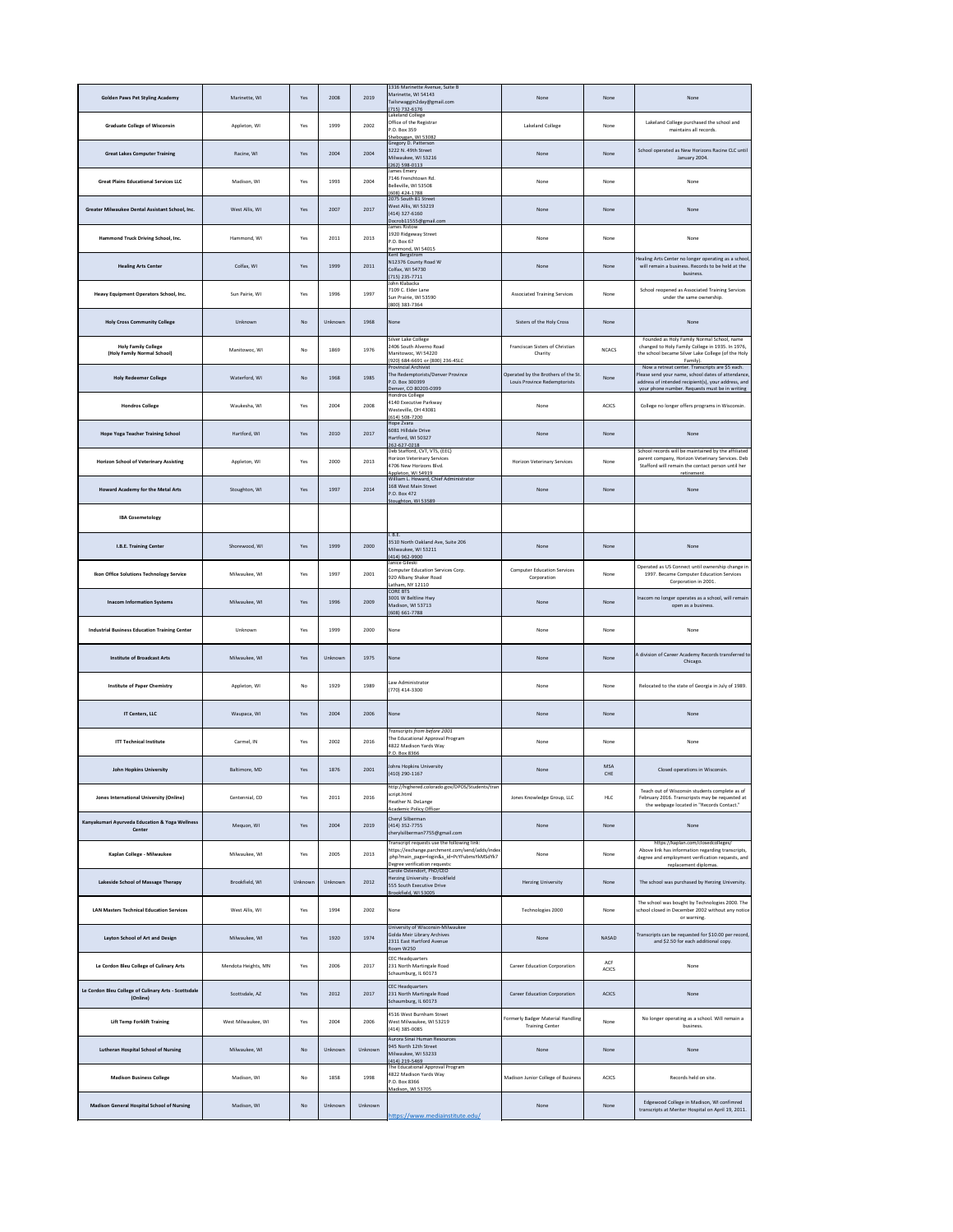| <b>Golden Paws Pet Styling Academy</b>                           | Marinette, WI       | Yes     | 2008    | 2019    | 1316 Marinette Avenue, Suite B<br>Marinette, WI 54143<br>Tailsrwaggin2day@gmail.com<br>(715) 732-6176                                                                        | None                                                                | None                | None                                                                                                                                                                                                           |
|------------------------------------------------------------------|---------------------|---------|---------|---------|------------------------------------------------------------------------------------------------------------------------------------------------------------------------------|---------------------------------------------------------------------|---------------------|----------------------------------------------------------------------------------------------------------------------------------------------------------------------------------------------------------------|
| <b>Graduate College of Wisconsin</b>                             | Appleton, WI        | Yes     | 1999    | 2002    | Lakeland College<br>Office of the Registrar<br>P.O. Box 359<br>Sheboygan, WI 53082                                                                                           | Lakeland College                                                    | None                | Lakeland College purchased the school and<br>maintains all records.                                                                                                                                            |
| <b>Great Lakes Computer Training</b>                             | Racine, WI          | Yes     | 2004    | 2004    | Gregory D. Patterson<br>3222 N. 49th Street<br>Milwaukee, WI 53216<br>(262) 598-0113                                                                                         | None                                                                | None                | School operated as New Horizons Racine CLC until<br>January 2004.                                                                                                                                              |
| <b>Great Plains Educational Services LLC</b>                     | Madison, WI         | Yes     | 1993    | 2004    | James Emery<br>7146 Frenchtown Rd.<br>Belleville, WI 53508<br>(608) 424-1788                                                                                                 | None                                                                | None                | None                                                                                                                                                                                                           |
| Greater Milwaukee Dental Assistant School, Inc.                  | West Allis, WI      | Yes     | 2007    | 2017    | 2075 South 81 Street<br>West Allis, WI 53219<br>(414) 327-6160<br>Docrob11555@gmail.com                                                                                      | None                                                                | None                | None                                                                                                                                                                                                           |
| Hammond Truck Driving School, Inc.                               | Hammond, WI         | Yes     | 2011    | 2013    | James Ristow<br>1920 Ridgeway Street<br>P.O. Box 67<br>Hammond, WI 54015                                                                                                     | None                                                                | None                | None                                                                                                                                                                                                           |
| <b>Healing Arts Center</b>                                       | Colfax, WI          | Yes     | 1999    | 2011    | Kent Bergstrom<br>N12376 County Road W<br>Colfax, WI 54730<br>(715) 235-7711                                                                                                 | None                                                                | None                | Healing Arts Center no longer operating as a school,<br>will remain a business. Records to be held at the<br>business.                                                                                         |
| Heavy Equipment Operators School, Inc.                           | Sun Pairie, WI      | Yes     | 1996    | 1997    | John Klabacka<br>7109 C. Elder Lane<br>Sun Prairie, WI 53590<br>(800) 383-7364                                                                                               | <b>Associated Training Services</b>                                 | None                | School reopened as Associated Training Services<br>under the same ownership.                                                                                                                                   |
| <b>Holy Cross Community College</b>                              | Unknown             | No      | Unknown | 1968    | None                                                                                                                                                                         | Sisters of the Holy Cross                                           | None                | None                                                                                                                                                                                                           |
| <b>Holy Family College</b><br>(Holy Family Normal School)        | Manitowoc, WI       | No      | 1869    | 1976    | Silver Lake College<br>2406 South Alverno Road<br>Manitowoc, WI 54220<br>(920) 684-6691 or (800) 236-4SLC                                                                    | Franciscan Sisters of Christian<br>Charity                          | <b>NCACS</b>        | Founded as Holy Family Normal School, name<br>changed to Holy Family College in 1935. In 1976,<br>the school became Silver Lake College (of the Holy<br>Family).                                               |
| <b>Holy Redeemer College</b>                                     | Waterford, WI       | No      | 1968    | 1985    | <b>Provincial Archivist</b><br>The Redemptorists/Denver Province<br>P.O. Box 300399<br>Denver, CO 80203-0399                                                                 | Operated by the Brothers of the St.<br>Louis Province Redemptorists | None                | Now a retreat center. Transcripts are \$5 each.<br>Please send your name, school dates of attendance,<br>address of intended recipient(s), your address, and<br>your phone number. Requests must be in writing |
| <b>Hondros College</b>                                           | Waukesha, WI        | Yes     | 2004    | 2008    | Hondros College<br>4140 Executive Parkway<br>Westeville, OH 43081<br>(614) 508-7200                                                                                          | None                                                                | <b>ACICS</b>        | College no longer offers programs in Wisconsin.                                                                                                                                                                |
| <b>Hope Yoga Teacher Training School</b>                         | Hartford, WI        | Yes     | 2010    | 2017    | Hope Zvara<br>6081 Hilldale Drive<br>Hartford, WI 50327<br>262-627-0218                                                                                                      | None                                                                | None                | None                                                                                                                                                                                                           |
| <b>Horizon School of Veterinary Assisting</b>                    | Appleton, WI        | Yes     | 2000    | 2013    | Deb Stafford, CVT, VTS, (EEC)<br><b>Horizon Veterinary Services</b><br>4706 New Horizons Blvd.<br>Appleton, WI 54919                                                         | <b>Horizon Veterinary Services</b>                                  | None                | School records will be maintained by the affiliated<br>parent company, Horizon Veterinary Services. Deb<br>Stafford will remain the contact person until her<br>retirement.                                    |
| Howard Academy for the Metal Arts                                | Stoughton, WI       | Yes     | 1997    | 2014    | William L. Howard, Chief Administrator<br>168 West Main Street<br>P.O. Box 472<br>Stoughton, WI 53589                                                                        | None                                                                | None                | None                                                                                                                                                                                                           |
| <b>IBA Cosemetology</b>                                          |                     |         |         |         |                                                                                                                                                                              |                                                                     |                     |                                                                                                                                                                                                                |
| I.B.E. Training Center                                           | Shorewood, WI       | Yes     | 1999    | 2000    | .B.E.<br>3510 North Oakland Ave, Suite 206<br>Milwaukee, WI 53211<br>(414) 962-9900                                                                                          | None                                                                | None                | None                                                                                                                                                                                                           |
| Ikon Office Solutions Technology Service                         | Milwaukee, WI       | Yes     | 1997    | 2001    | Janice Gileski<br>Computer Education Services Corp.<br>920 Albany Shaker Road<br>Latham, NY 12110                                                                            | <b>Computer Education Services</b><br>Corporation                   | None                | Operated as US Connect until ownership change in<br>1997. Became Computer Education Services<br>Corporation in 2001.                                                                                           |
| <b>Inacom Information Systems</b>                                | Milwaukee, WI       | Yes     | 1996    | 2009    | <b>CORE BTS</b><br>3001 W Beltline Hwy<br>Madison, WI 53713<br>(608) 661-7788                                                                                                | None                                                                | None                | Inacom no longer operates as a school, will remain<br>open as a business.                                                                                                                                      |
| <b>Industrial Business Education Training Center</b>             | Unknown             | Yes     | 1999    | 2000    | None                                                                                                                                                                         | None                                                                | None                | None                                                                                                                                                                                                           |
| <b>Institute of Broadcast Arts</b>                               | Milwaukee, WI       | Yes     | Unknown | 1975    | None                                                                                                                                                                         | None                                                                | None                | A division of Career Academy Records transferred to<br>Chicago.                                                                                                                                                |
| <b>Institute of Paper Chemistry</b>                              | Appleton, WI        | No      | 1929    | 1989    | Law Administrator<br>(770) 414-3300                                                                                                                                          | None                                                                | None                | Relocated to the state of Georgia in July of 1989.                                                                                                                                                             |
| <b>IT Centers, LLC</b>                                           | Waupaca, WI         | Yes     | 2004    | 2006    | None                                                                                                                                                                         | None                                                                | None                | None                                                                                                                                                                                                           |
| <b>ITT Technical Institute</b>                                   | Carmel, IN          | Yes     | 2002    | 2016    | Transcripts from before 2001<br>The Educational Approval Program<br>4822 Madison Yards Way<br>P.O. Box 8366                                                                  | None                                                                | None                | None                                                                                                                                                                                                           |
| <b>John Hopkins University</b>                                   | Baltimore, MD       | Yes     | 1876    | 2001    | Johns Hopkins University<br>(410) 290-1167                                                                                                                                   | None                                                                | <b>MSA</b><br>CHE   | Closed operations in Wisconsin.                                                                                                                                                                                |
| <b>Jones International University (Online)</b>                   | Centennial, CO      | Yes     | 2011    | 2016    | http://highered.colorado.gov/DPOS/Students/tran<br>script.html<br>Heather N. DeLange<br><b>Academic Policy Officer</b>                                                       | Jones Knowledge Group, LLC                                          | HLC                 | Teach out of Wisconsin students complete as of<br>February 2016. Transcripsts may be requested at<br>the webpage located in "Records Contact."                                                                 |
| Kanyakumari Ayurveda Education & Yoga Wellness<br>Center         | Mequon, WI          | Yes     | 2004    | 2019    | Cheryl Silberman<br>(414) 352-7755<br>cherylsilberman7755@gmail.com                                                                                                          | None                                                                | None                | None                                                                                                                                                                                                           |
| Kaplan College - Milwaukee                                       | Milwaukee, WI       | Yes     | 2005    | 2013    | Transcript requests use the following link:<br>https://exchange.parchment.com/send/adds/index<br>.php?main_page=login&s_id=PcYFubmsYkMSdYk7<br>Degree verification requests: | None                                                                | None                | https://kaplan.com/closedcolleges/<br>Above link has information regarding transcripts,<br>degree and employment verification requests, and<br>replacement diplomas.                                           |
| Lakeside School of Massage Therapy                               | Brookfield, WI      | Unknown | Unknown | 2012    | Carole Ostendorf, PhD/CEO<br>Herzing University - Brookfield<br>555 South Executive Drive<br>Brookfield, WI 53005                                                            | <b>Herzing University</b>                                           | None                | The school was purchased by Herzing University.                                                                                                                                                                |
| <b>LAN Masters Technical Education Services</b>                  | West Allis, WI      | Yes     | 1994    | 2002    | None                                                                                                                                                                         | Technologies 2000                                                   | None                | The school was bought by Technologies 2000. The<br>school closed in December 2002 without any notice<br>or warning.                                                                                            |
| Layton School of Art and Design                                  | Milwaukee, WI       | Yes     | 1920    | 1974    | University of Wisconsin-Milwaukee<br>Golda Meir Library Archives<br>2311 East Hartford Avenue<br>Room W250                                                                   | None                                                                | <b>NASAD</b>        | Transcripts can be requested for \$10.00 per record,<br>and \$2.50 for each additional copy.                                                                                                                   |
| Le Cordon Bleu College of Culinary Arts                          | Mendota Heights, MN | Yes     | 2006    | 2017    | <b>CEC Headquarters</b><br>231 North Martingale Road<br>Schaumburg, IL 60173                                                                                                 | <b>Career Education Corporation</b>                                 | ACF<br><b>ACICS</b> | None                                                                                                                                                                                                           |
| Le Cordon Bleu College of Culinary Arts - Scottsdale<br>(Online) | Scottsdale, AZ      | Yes     | 2012    | 2017    | <b>CEC Headquarters</b><br>231 North Martingale Road<br>Schaumburg, IL 60173                                                                                                 | <b>Career Education Corporation</b>                                 | <b>ACICS</b>        | None                                                                                                                                                                                                           |
| <b>Lift Temp Forklift Training</b>                               | West Milwaukee, WI  | Yes     | 2004    | 2006    | 4516 West Burnham Street<br>West Milwaukee, WI 53219<br>(414) 385-0085                                                                                                       | Formerly Badger Material Handling<br><b>Training Center</b>         | None                | No longer operating as a school. Will remain a<br>business.                                                                                                                                                    |
| <b>Lutheran Hospital School of Nursing</b>                       | Milwaukee, WI       | No      | Unknown | Unknown | Aurora Sinai Human Resources<br>945 North 12th Street<br>Milwaukee, WI 53233<br>(414) 219-5469                                                                               | None                                                                | None                | None                                                                                                                                                                                                           |
| <b>Madison Business College</b>                                  | Madison, WI         | No      | 1858    | 1998    | The Educational Approval Program<br>4822 Madison Yards Way<br>P.O. Box 8366<br>Madison, WI 53705                                                                             | Madison Junior College of Business                                  | <b>ACICS</b>        | Records held on site.                                                                                                                                                                                          |
| <b>Madison General Hospital School of Nursing</b>                | Madison, WI         | No      | Unknown | Unknown | https://www.mediainstitute.edu/                                                                                                                                              | None                                                                | None                | Edgewood College in Madison, WI confimred<br>transcripts at Meriter Hospital on April 19, 2011.                                                                                                                |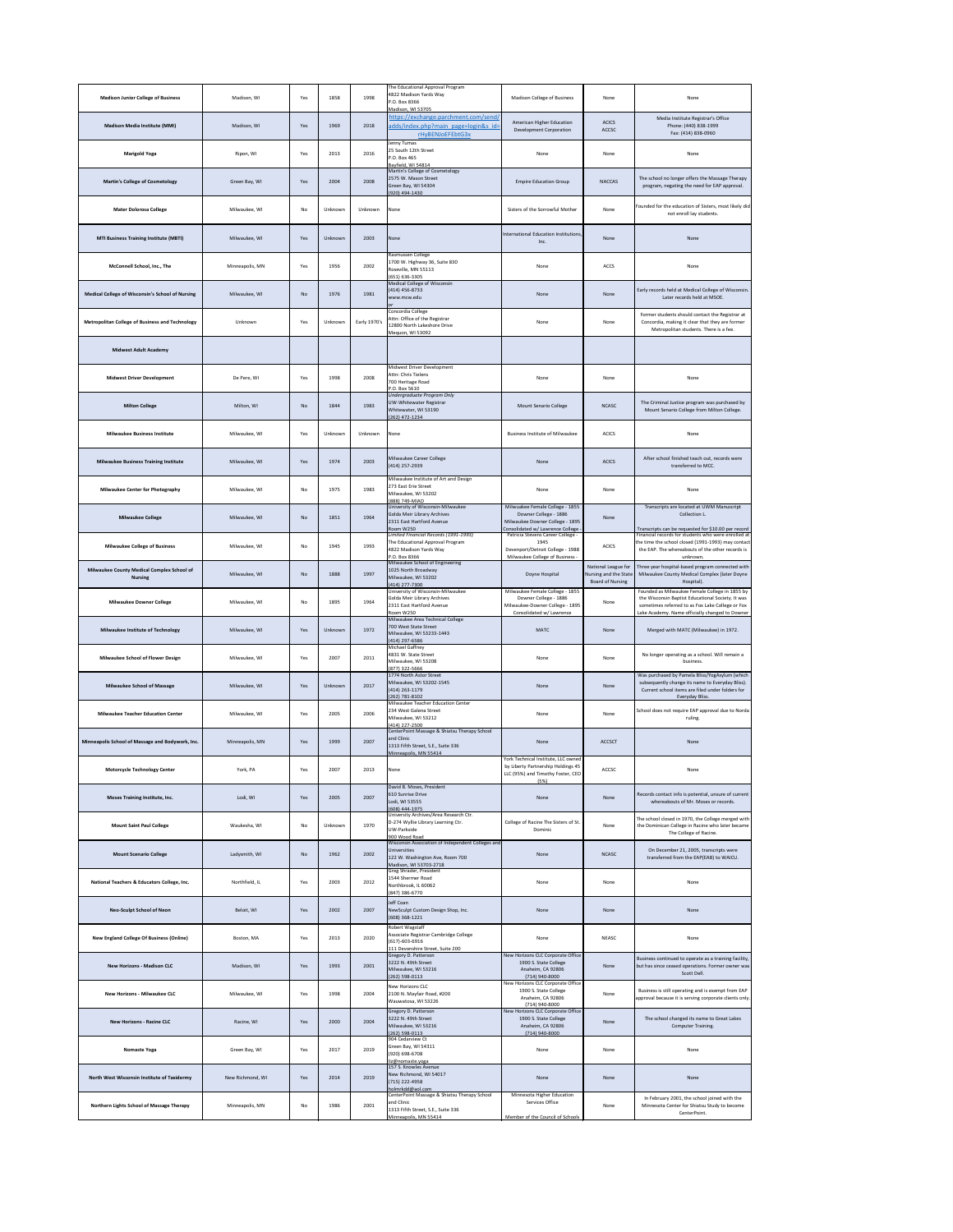| <b>Madison Junior College of Business</b>                    | Madison, WI      | Yes       | 1858    | 1998         | The Educational Approval Program<br>4822 Madison Yards Way<br>P.O. Box 8366<br>Madison, WI 53705                                                    | <b>Madison College of Business</b>                                                                                              | None                                                                    | None                                                                                                                                                                     |
|--------------------------------------------------------------|------------------|-----------|---------|--------------|-----------------------------------------------------------------------------------------------------------------------------------------------------|---------------------------------------------------------------------------------------------------------------------------------|-------------------------------------------------------------------------|--------------------------------------------------------------------------------------------------------------------------------------------------------------------------|
| <b>Madison Media Institute (MMI)</b>                         | Madison, WI      | Yes       | 1969    | 2018         | https://exchange.parchment.com/send/<br>adds/index.php?main page=login&s id=<br>rHyBENJoEFEbtG3x                                                    | American Higher Education<br>Development Corporation                                                                            | <b>ACICS</b><br>ACCSC                                                   | Media Institute Registrar's Office<br>Phone: (440) 838-1999<br>Fax: (414) 838-0960                                                                                       |
| <b>Marigold Yoga</b>                                         | Ripon, WI        | Yes       | 2013    | 2016         | Jenny Tumas<br>25 South 12th Street<br>P.O. Box 465<br>Bayfield, WI 54814                                                                           | None                                                                                                                            | None                                                                    | None                                                                                                                                                                     |
| <b>Martin's College of Cosmetology</b>                       | Green Bay, WI    | Yes       | 2004    | 2008         | Martin's College of Cosmetology<br>2575 W. Mason Street<br>Green Bay, WI 54304<br>(920) 494-1430                                                    | <b>Empire Education Group</b>                                                                                                   | <b>NACCAS</b>                                                           | The school no longer offers the Massage Therapy<br>program, negating the need for EAP approval.                                                                          |
| <b>Mater Dolorosa College</b>                                | Milwaukee, WI    | No        | Unknown | Unknown      | None                                                                                                                                                | Sisters of the Sorrowful Mother                                                                                                 | None                                                                    | Founded for the education of Sisters, most likely did<br>not enroll lay students.                                                                                        |
| <b>MTI Business Training Institute (MBTI)</b>                | Milwaukee, WI    | Yes       | Unknown | 2003         | None                                                                                                                                                | International Education Institutions,<br>Inc.                                                                                   | None                                                                    | None                                                                                                                                                                     |
| McConnell School, Inc., The                                  | Minneapolis, MN  | Yes       | 1956    | 2002         | Rasmussen College<br>1700 W. Highway 36, Suite 830<br>Roseville, MN 55113<br>(651) 636-3305                                                         | None                                                                                                                            | ACCS                                                                    | None                                                                                                                                                                     |
| Medical College of Wisconsin's School of Nursing             | Milwaukee, WI    | No        | 1976    | 1981         | <b>Medical College of Wisconsin</b><br>(414) 456-8733<br>www.mcw.edu                                                                                | None                                                                                                                            | None                                                                    | Early records held at Medical College of Wisconsin.<br>Later records held at MSOE.                                                                                       |
| <b>Metropolitan College of Business and Technology</b>       | Unknown          | Yes       | Unknown | Early 1970's | Concordia College<br>Attn: Office of the Registrar<br>12800 North Lakeshore Drive<br>Mequon, WI 53092                                               | None                                                                                                                            | None                                                                    | Former students should contact the Registrar at<br>Concordia, making it clear that they are former<br>Metropolitan students. There is a fee.                             |
| <b>Midwest Adult Academy</b>                                 |                  |           |         |              |                                                                                                                                                     |                                                                                                                                 |                                                                         |                                                                                                                                                                          |
| <b>Midwest Driver Development</b>                            | De Pere, WI      | Yes       | 1998    | 2008         | Midwest Driver Development<br>Attn: Chris Tielens<br>700 Heritage Road<br>P.O. Box 5610                                                             | None                                                                                                                            | None                                                                    | None                                                                                                                                                                     |
| <b>Milton College</b>                                        | Milton, WI       | <b>No</b> | 1844    | 1983         | Undergraduate Program Only<br>UW-Whitewater Registrar<br>Whitewater, WI 53190<br>(262) 472-1234                                                     | <b>Mount Senario College</b>                                                                                                    | <b>NCASC</b>                                                            | The Criminal Justice program was purchased by<br>Mount Senario College from Milton College.                                                                              |
| <b>Milwaukee Business Institute</b>                          | Milwaukee, WI    | Yes       | Unknown | Unknown      | None                                                                                                                                                | <b>Business Institute of Milwaukee</b>                                                                                          | <b>ACICS</b>                                                            | None                                                                                                                                                                     |
| <b>Milwaukee Business Training Institute</b>                 | Milwaukee, WI    | Yes       | 1974    | 2003         | Milwaukee Career College<br>(414) 257-2939                                                                                                          | None                                                                                                                            | <b>ACICS</b>                                                            | After school finished teach out, records were<br>transferred to MCC.                                                                                                     |
| <b>Milwaukee Center for Photography</b>                      | Milwaukee, WI    | No        | 1975    | 1983         | Milwaukee Institute of Art and Design<br>273 East Erie Street<br>Milwaukee, WI 53202<br>(888) 749-MIAD                                              | None                                                                                                                            | None                                                                    | None                                                                                                                                                                     |
| <b>Milwaukee College</b>                                     | Milwaukee, WI    | No        | 1851    | 1964         | University of Wisconsin-Milwaukee<br>Golda Meir Library Archives<br>2311 East Hartford Avenue<br>Room W250<br>Limited Financial Records (1991-1993) | Milwuakee Female College - 1855<br>Downer College - 1886<br>Milwaukee Downer College - 1895<br>Consolidated w/ Lawrence College | None                                                                    | Transcripts are located at UWM Manuscript<br>Collection L.<br>Transcripts can be requested for \$10.00 per record<br>Financial records for students who were enrolled at |
| <b>Milwaukee College of Business</b>                         | Milwaukee, WI    | No        | 1945    | 1993         | The Educational Approval Program<br>4822 Madison Yards Way<br>P.O. Box 8366<br>Milwaukee School of Engineering                                      | Patricia Stevens Career College -<br>1945<br>Devenport/Detroit College - 1988<br>Milwaukee College of Business -                | <b>ACICS</b>                                                            | the time the school closed (1991-1993) may contact<br>the EAP. The whereabouts of the other records is<br>unknown.                                                       |
| Milwaukee County Medical Complex School of<br><b>Nursing</b> | Milwaukee, WI    | No        | 1888    | 1997         | 1025 North Broadway<br>Milwaukee, WI 53202<br>(414) 277-7300<br>University of Wisconsin-Milwaukee                                                   | Doyne Hospital<br>Milwaukee Female College - 1855                                                                               | National League for<br>Nursing and the State<br><b>Board of Nursing</b> | Three year hospital-based program connected with<br>Milwaukee County Medical Complex (later Doyne<br>Hospital).<br>Founded as Milwaukee Female College in 1855 by        |
| <b>Milwaukee Downer College</b>                              | Milwaukee, WI    | No        | 1895    | 1964         | Golda Meir Library Archives<br>2311 East Hartford Avenue<br>Room W250<br>Milwaukee Area Technical College                                           | Downer College - 1886<br>Milwaukee-Downer College - 1895<br>Consolidated w/ Lawrence                                            | None                                                                    | the Wisconsin Baptist Educational Society. It was<br>sometimes referred to as Fox Lake College or Fox<br>Lake Academy. Name officially changed to Downer                 |
| Milwaukee Institute of Technology                            | Milwaukee, WI    | Yes       | Unknown | 1972         | 700 West State Street<br>Milwaukee, WI 53233-1443<br>(414) 297-6586<br><b>Michael Gaffney</b>                                                       | <b>MATC</b>                                                                                                                     | None                                                                    | Merged with MATC (Milwaukee) in 1972.                                                                                                                                    |
| <b>Milwaukee School of Flower Design</b>                     | Milwaukee, WI    | Yes       | 2007    | 2011         | 4831 W. State Street<br>Milwaukee, WI 53208<br>(877) 322-5666<br>1774 North Astor Street                                                            | None                                                                                                                            | None                                                                    | No longer operating as a school. Will remain a<br>business.<br>Was purchased by Pamela Bliss/YogAsylum (which                                                            |
| <b>Milwaukee School of Massage</b>                           | Milwaukee, WI    | Yes       | Unknown | 2017         | Milwaukee, WI 53202-1545<br>(414) 263-1179<br>(262) 781-8102<br>Milwaukee Teacher Education Center                                                  | None                                                                                                                            | None                                                                    | subsequently change its name to Everyday Bliss).<br>Current school items are filed under folders for<br>Everyday Bliss.                                                  |
| <b>Milwaukee Teacher Education Center</b>                    | Milwaukee, WI    | Yes       | 2005    | 2006         | 234 West Galena Street<br>Milwaukee, WI 53212<br>(414) 227-2500<br>CenterPoint Massage & Shiatsu Therapy School                                     | None                                                                                                                            | None                                                                    | School does not require EAP approval due to Norda<br>ruling.                                                                                                             |
| Minneapolis School of Massage and Bodywork, Inc.             | Minneapolis, MN  | Yes       | 1999    | 2007         | and Clinic<br>1313 Fifth Street, S.E., Suite 336<br>Minneapolis, MN 55414                                                                           | None                                                                                                                            | <b>ACCSCT</b>                                                           | None                                                                                                                                                                     |
| <b>Motorcycle Technology Center</b>                          | York, PA         | Yes       | 2007    | 2013         | None                                                                                                                                                | York Technical Institute, LLC owned<br>by Liberty Partnership Holdings 45<br>LLC (95%) and Timothy Foster, CEO<br>(5%)          | ACCSC                                                                   | None                                                                                                                                                                     |
| Moses Training Institute, Inc.                               | Lodi, WI         | Yes       | 2005    | 2007         | David B. Moses, President<br>610 Sunrise Drive<br>Lodi, WI 53555<br>(608) 444-1975<br>University Archives/Area Research Ctr.                        | None                                                                                                                            | None                                                                    | Records contact info is potential, unsure of current<br>whereabouts of Mr. Moses or records.                                                                             |
| <b>Mount Saint Paul College</b>                              | Waukesha, WI     | No        | Unknown | 1970         | D-274 Wyllie Library Learning Ctr.<br>UW-Parkside<br>900 Wood Road<br>Wisconsin Association of Independent Colleges and                             | College of Racine The Sisters of St.<br>Dominic                                                                                 | None                                                                    | The school closed in 1970, the College merged with<br>the Dominican College in Racine who later became<br>The College of Racine.                                         |
| <b>Mount Scenario College</b>                                | Ladysmith, WI    | No        | 1962    | 2002         | <b>Universities</b><br>122 W. Washington Ave, Room 700<br>Madison, WI 53703-2718<br>Greg Shrader, President                                         | None                                                                                                                            | <b>NCASC</b>                                                            | On December 21, 2005, transcripts were<br>transferred from the EAP(EAB) to WAICU.                                                                                        |
| National Teachers & Educators College, Inc.                  | Northfield, IL   | Yes       | 2003    | 2012         | 1544 Shermer Road<br>Northbrook, IL 60062<br>(847) 386-6770                                                                                         | None                                                                                                                            | None                                                                    | None                                                                                                                                                                     |
| <b>Neo-Sculpt School of Neon</b>                             | Beloit, WI       | Yes       | 2002    | 2007         | Jeff Coan<br>NewSculpt Custom Design Shop, Inc.<br>(608) 368-1221<br>Robert Wagstaff                                                                | None                                                                                                                            | None                                                                    | None                                                                                                                                                                     |
| <b>New England College Of Business (Online)</b>              | Boston, MA       | Yes       | 2013    | 2020         | Associate Registrar Cambridge College<br>$(617) - 603 - 6916$<br>111 Devonshire Street, Suite 200<br>Gregory D. Patterson                           | None<br>New Horizons CLC Corporate Office                                                                                       | <b>NEASC</b>                                                            | None                                                                                                                                                                     |
| <b>New Horizons - Madison CLC</b>                            | Madison, WI      | Yes       | 1993    | 2001         | 3222 N. 49th Street<br>Milwaukee, WI 53216<br>(262) 598-0113                                                                                        | 1900 S. State College<br>Anaheim, CA 92806<br>(714) 940-8000<br>New Horizons CLC Corporate Office                               | None                                                                    | Business continued to operate as a training facility,<br>but has since ceased operations. Former owner was<br>Scott Dell.                                                |
| <b>New Horizons - Milwaukee CLC</b>                          | Milwaukee, WI    | Yes       | 1998    | 2004         | New Horizons CLC<br>2100 N. Mayfair Road, #200<br>Wauwatosa, WI 53226<br>Gregory D. Patterson                                                       | 1900 S. State College<br>Anaheim, CA 92806<br>(714) 940-8000<br>New Horizons CLC Corporate Office                               | None                                                                    | Business is still operating and is exempt from EAP<br>approval because it is serving corporate clients only.                                                             |
| <b>New Horizons - Racine CLC</b>                             | Racine, WI       | Yes       | 2000    | 2004         | 3222 N. 49th Street<br>Milwaukee, WI 53216<br>(262) 598-0113<br>904 Cedarview Ct                                                                    | 1900 S. State College<br>Anaheim, CA 92806<br>(714) 940-8000                                                                    | None                                                                    | The school changed its name to Great Lakes<br><b>Computer Training.</b>                                                                                                  |
| Nomaste Yoga                                                 | Green Bay, WI    | Yes       | 2017    | 2019         | Green Bay, WI 54311<br>(920) 698-6708<br>liz@nomaste.yoga<br>157 S. Knowles Avenue                                                                  | None                                                                                                                            | None                                                                    | None                                                                                                                                                                     |
| North West Wisconsin Institute of Taxidermy                  | New Richmond, WI | Yes       | 2014    | 2019         | New Richmond, WI 54017<br>(715) 222-4958<br>holmrkdd@aol.com<br>CenterPoint Massage & Shiatsu Therapy School                                        | None<br>Minnesota Higher Education                                                                                              | None                                                                    | None                                                                                                                                                                     |
| Northern Lights School of Massage Therapy                    | Minneapolis, MN  | No        | 1986    | 2001         | and Clinic<br>1313 Fifth Street, S.E., Suite 336<br>Minneapolis, MN 55414                                                                           | Services Office<br>Member of the Council of Schools                                                                             | None                                                                    | In February 2001, the school joined with the<br>Minnesota Center for Shiatsu Study to become<br>CenterPoint.                                                             |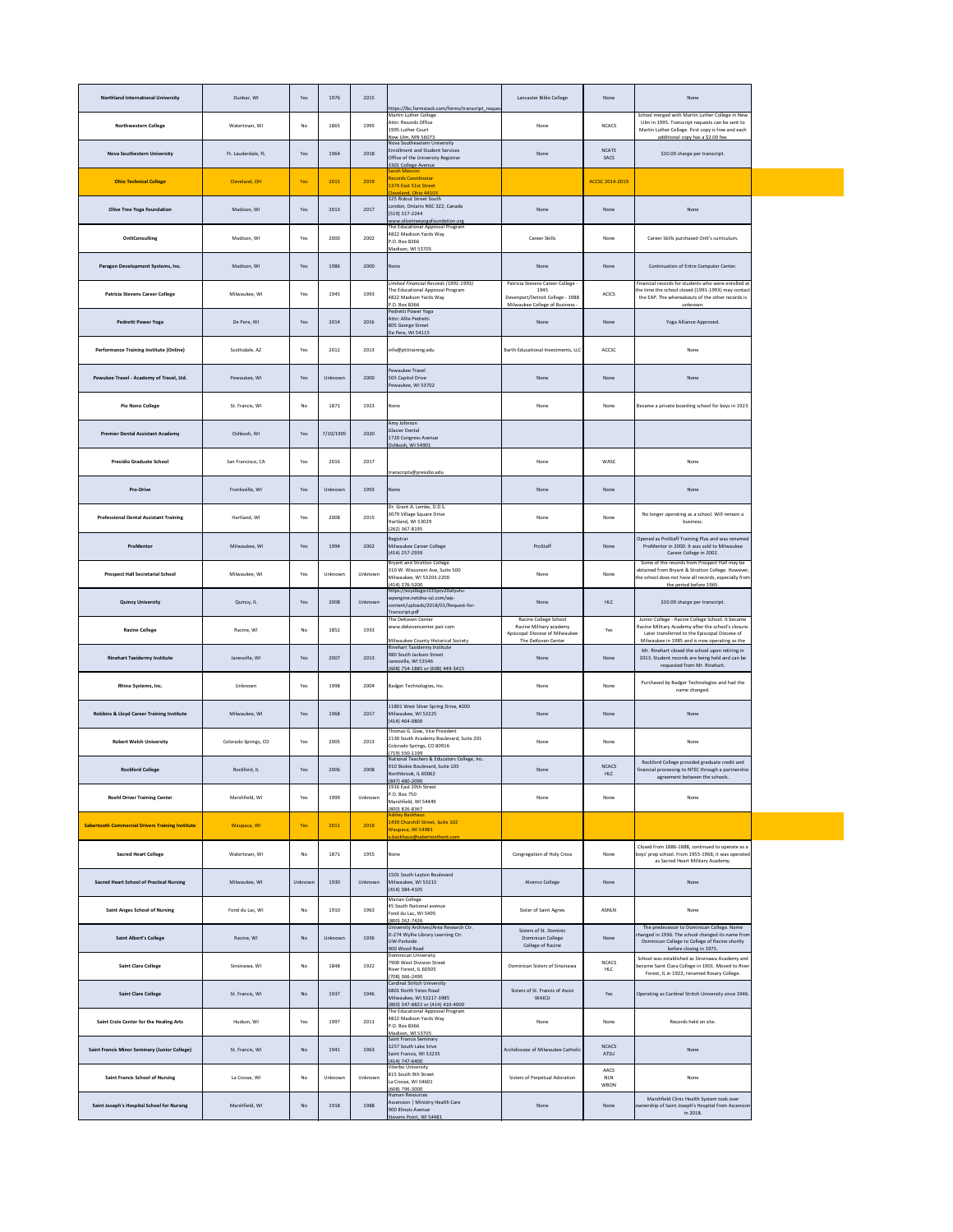| <b>Northland International University</b>               | Dunbar, WI           | Yes     | 1976      | 2015    | https://lbc.formstack.com/forms/transcript_reques                                                                                   | Lancaster Bible College                                                                                          | None                       | None                                                                                                                                                                                                       |  |
|---------------------------------------------------------|----------------------|---------|-----------|---------|-------------------------------------------------------------------------------------------------------------------------------------|------------------------------------------------------------------------------------------------------------------|----------------------------|------------------------------------------------------------------------------------------------------------------------------------------------------------------------------------------------------------|--|
| <b>Northwestern College</b>                             | Watertown, WI        | No      | 1865      | 1995    | Martin Luther College<br>Attn: Records Office<br>1995 Luther Court<br>New Ulm, MN 56073                                             | None                                                                                                             | <b>NCACS</b>               | School merged with Martin Luther College in New<br>Ulm in 1995. Transcript requests can be sent to<br>Martin Luther College. First copy is free and each<br>additional copy has a \$2.00 fee.              |  |
| <b>Nova Southestern University</b>                      | Ft. Lauderdale, FL   | Yes     | 1964      | 2018    | Nova Southeastern University<br><b>Enrollment and Student Services</b><br>Office of the University Registrar<br>3301 College Avenue | None                                                                                                             | <b>NCATE</b><br>SACS       | \$10.00 charge per transcript.                                                                                                                                                                             |  |
| <b>Ohio Technical College</b>                           | Cleveland, OH        | Yes     | 2015      | 2019    | Sarah Mancini<br><b>Records Coordinator</b><br>1374 East 51st Street<br>Cleveland, Ohio 44103                                       |                                                                                                                  | ACCSC 2014-2019            |                                                                                                                                                                                                            |  |
| <b>Olive Tree Yoga Foundation</b>                       | Madison, WI          | Yes     | 2013      | 2017    | 325 Ridout Street South<br>London, Ontario N6C 3Z2, Canada<br>(519) 317-2244<br>www.olivetreeyogafoundation.org                     | None                                                                                                             | None                       | None                                                                                                                                                                                                       |  |
| OnItConsulting                                          | Madison, WI          | Yes     | 2000      | 2002    | The Educational Approval Program<br>4822 Madison Yards Way<br>P.O. Box 8366<br>Madison, WI 53705                                    | Career Skills                                                                                                    | None                       | Career Skills purchased OnIt's curriculum.                                                                                                                                                                 |  |
| Paragon Development Systems, Inc.                       | Madison, WI          | Yes     | 1986      | 2000    | None                                                                                                                                | None                                                                                                             | None                       | Continuation of Entre Computer Center.                                                                                                                                                                     |  |
| <b>Patricia Stevens Career College</b>                  | Milwaukee, WI        | Yes     | 1945      | 1993    | Limited Financial Records (1991-1993)<br>The Educational Approval Program<br>4822 Madison Yards Way<br>P.O. Box 8366                | Patricia Stevens Career College -<br>1945<br>Devenport/Detroit College - 1988<br>Milwaukee College of Business - | <b>ACICS</b>               | Financial records for students who were enrolled at<br>the time the school closed (1991-1993) may contact<br>the EAP. The whereabouts of the other records is<br>unknown.                                  |  |
| Pedretti Power Yoga                                     | De Pere, WI          | Yes     | 2014      | 2016    | Pedretti Power Yoga<br>Attn: Allie Pedretti<br>805 George Street<br>De Pere, WI 54115                                               | None                                                                                                             | None                       | Yoga Alliance Approved.                                                                                                                                                                                    |  |
| <b>Performance Training Institute (Online)</b>          | Scottsdale, AZ       | Yes     | 2012      | 2013    | info@ptitraining.edu                                                                                                                | Barth Educational Investments, LLC                                                                               | ACCSC                      | None                                                                                                                                                                                                       |  |
| Pewukee Travel - Academy of Travel, Ltd.                | Pewaukee, WI         | Yes     | Unknown   | 2000    | Pewaukee Travel<br>505 Capitol Drive<br>Pewaukee, WI 53702                                                                          | None                                                                                                             | None                       | None                                                                                                                                                                                                       |  |
| <b>Pio Nono College</b>                                 | St. Francis, WI      | No      | 1871      | 1923    | None                                                                                                                                | None                                                                                                             | None                       | Became a private boarding school for boys in 1923.                                                                                                                                                         |  |
| <b>Premier Dental Assistant Academy</b>                 | Oshkosh, WI          | Yes     | 7/10/1905 | 2020    | Amy Johnson<br>Glacier Dental<br>1720 Congress Avenue<br>Oshkosh, WI 54901                                                          |                                                                                                                  |                            |                                                                                                                                                                                                            |  |
| <b>Presidio Graduate School</b>                         | San Francisco, CA    | Yes     | 2016      | 2017    | transcripts@presidio.edu                                                                                                            | None                                                                                                             | WASC                       | None                                                                                                                                                                                                       |  |
| <b>Pro-Drive</b>                                        | Franksville, WI      | Yes     | Unknown   | 1993    | None                                                                                                                                | None                                                                                                             | None                       | None                                                                                                                                                                                                       |  |
| <b>Professional Dental Assistant Training</b>           | Hartland, WI         | Yes     | 2008      | 2015    | Dr. Grant A. Lemke, D.D.S.<br>3079 Village Square Drive<br>Hartland, WI 53029<br>(262) 367-8195                                     | None                                                                                                             | None                       | No longer operating as a school. Will remain a<br>business.                                                                                                                                                |  |
| ProMentor                                               | Milwaukee, WI        | Yes     | 1994      | 2002    | Registrar<br>Milwaukee Career College<br>(414) 257-2939                                                                             | ProStaff                                                                                                         | None                       | Opened as ProStaff Training Plus and was renamed<br>ProMentor in 2000. It was sold to Milwaukee<br>Career College in 2002.                                                                                 |  |
| <b>Prospect Hall Secretarial School</b>                 | Milwaukee, WI        | Yes     | Unknown   | Unknown | <b>Bryant and Stratton College</b><br>310 W. Wisconsin Ave, Suite 500<br>Milwaukee, WI 53203-2200<br>(414) 276-5200                 | None                                                                                                             | None                       | Some of the records from Prospect Hall may be<br>obtained from Bryant & Stratton College. However,<br>the school does not have all records, especially from<br>the period before 1965.                     |  |
| <b>Quincy University</b>                                | Quincy, IL           | Yes     | 2008      | Unknown | https://ecyz0ogsri333pcv20afyufu-<br>wpengine.netdna-ssl.com/wp-<br>content/uploads/2018/01/Request-for-<br>Transcript.pdf          | None                                                                                                             | HLC                        | \$10.00 charge per transcript.                                                                                                                                                                             |  |
| <b>Racine College</b>                                   | Racine, WI           | No      | 1852      | 1933    | The DeKoven Center<br>www.dekovencenter.pair.com<br>Milwaukee County Historical Society                                             | Racine College School<br>Racine Military academy<br>Apiscopal Diocese of Milwaukee<br>The DeKoven Center         | Yes                        | Junior College - Racine College School. It became<br>Racine Military Academy after the school's closure.<br>Later transferred to the Episcopal Diocese of<br>Milwaukee in 1985 and is now operating as the |  |
| <b>Rinehart Taxidermy Institute</b>                     | Janesville, WI       | Yes     | 2007      | 2013    | Rinehart Taxidermy Institute<br>980 South Jackson Street<br>Janesville, WI 53546<br>(608) 754-1885 or (608) 449-3415                | None                                                                                                             | None                       | Mr. Rinehart closed the school upon retiring in<br>2013. Student records are being held and can be<br>requested from Mr. Rinehart.                                                                         |  |
| Rhino Systems, Inc.                                     | Unknown              | Yes     | 1998      | 2004    | Badger Technologies, Inc.                                                                                                           | None                                                                                                             | None                       | Purchased by Badger Technologies and had the<br>name changed.                                                                                                                                              |  |
| Robbins & Lloyd Career Training Institute               | Milwaukee, WI        | Yes     | 1968      | 2017    | 11801 West Silver Spring Drive, #200<br>Milwaukee, WI 53225<br>(414) 464-0800                                                       | None                                                                                                             | None                       | None                                                                                                                                                                                                       |  |
| <b>Robert Welch University</b>                          | Colorado Springs, CO | Yes     | 2005      | 2013    | Thomas G. Gow, Vice President<br>2130 South Academy Boulevard, Suite 201<br>Colorado Springs, CO 80916<br>(719) 550-1199            | None                                                                                                             | None                       | None                                                                                                                                                                                                       |  |
| <b>Rockford College</b>                                 | Rockford, IL         | Yes     | 2006      | 2008    | National Teachers & Educators College, Inc.<br>910 Skokie Boulevard, Suite 103<br>Northbrook, IL 60062<br>(847) 480-2090            | None                                                                                                             | <b>NCACS</b><br>HLC        | Rockford College provided graduate credit and<br>financial processing to NTEC through a partnershio<br>agreement between the schools.                                                                      |  |
| <b>Roehl Driver Training Center</b>                     | Marshfield, WI       | Yes     | 1999      | Unknown | 1916 East 29th Street<br>P.O. Box 750<br>Marshfield, WI 54449<br>(800) 826-8367                                                     | None                                                                                                             | None                       | None                                                                                                                                                                                                       |  |
| <b>Sabertooth Commercial Drivers Training Institute</b> | Waupaca, WI          | Yes     | 2011      | 2019    | <b>Ashley Backhaus</b><br>1439 Churchill Street, Suite 102<br>Waupaca, WI 54981<br>a.backhaus@sabertoothent.com                     |                                                                                                                  |                            |                                                                                                                                                                                                            |  |
| <b>Sacred Heart College</b>                             | Watertown, WI        | No      | 1871      | 1955    | None                                                                                                                                | Congregation of Holy Cross                                                                                       | None                       | Closed from 1886-1888, continued to operate as a<br>boys' prep school. From 1955-1968, it was operated<br>as Sacred Heart Military Academy.                                                                |  |
| <b>Sacred Heart School of Practical Nursing</b>         | Milwaukee, WI        | Unknown | 1930      | Unknown | 1501 South Layton Boulevard<br>Milwaukee, WI 53215<br>(414) 384-4105                                                                | Alverno College                                                                                                  | None                       | None                                                                                                                                                                                                       |  |
| <b>Saint Anges School of Nursing</b>                    | Fond du Lac, WI      | No      | 1910      | 1963    | <b>Marian College</b><br>45 South National avenue<br>Fond du Lac, WI 5495<br>(800) 262-7426                                         | Sister of Saint Agnes                                                                                            | ASNLN                      | None                                                                                                                                                                                                       |  |
| <b>Saint Albert's College</b>                           | Racine, WI           | No      | Unknown   | 1936    | University Archives/Area Research Ctr.<br>D-274 Wyllie Library Learning Ctr.<br>UW-Parkside<br>900 Wood Road                        | Sisters of St. Dominic<br>Dominican College<br>College of Racine                                                 | None                       | The predecessor to Dominican College. Name<br>changed in 1936. The school changed its name from<br>Dominican College to College of Racine shortly<br>before closing in 1975.                               |  |
| <b>Saint Clara College</b>                              | Sinsinawa, WI        | No      | 1848      | 1922    | Dominican University<br>7900 West Division Street<br>River Forest, IL 60305<br>(708) 366-2490                                       | Dominican Sisters of Sinsinawa                                                                                   | <b>NCACS</b><br>HLC        | School was established as Sinsinawa Academy and<br>became Saint Clara College in 1901. Moved to River<br>Forest, IL in 1922, renamed Rosary College.                                                       |  |
| <b>Saint Clare College</b>                              | St. Francis, WI      | No      | 1937      | 1946    | <b>Cardinal Stritch University</b><br>6801 North Yates Road<br>Milwaukee, WI 53217-3985<br>(800) 347-8822 or (414) 410-4000         | Sisters of St. Francis of Assisi<br><b>WAICU</b>                                                                 | Yes                        | Operating as Cardinal Stritch University since 1946.                                                                                                                                                       |  |
| Saint Croix Center for the Healing Arts                 | Hudson, WI           | Yes     | 1997      | 2011    | The Educational Approval Program<br>4822 Madison Yards Way<br>P.O. Box 8366<br>Madison, WI 53705                                    | None                                                                                                             | None                       | Records held on site.                                                                                                                                                                                      |  |
| <b>Saint Francis Minor Seminary (Junior College)</b>    | St. Francis, WI      | No      | 1941      | 1963    | <b>Saint Francis Seminary</b><br>3257 South Lake Srive<br>Saint Francis, WI 53235<br>(414) 747-6400                                 | Archdiocese of Milwaukee Catholic                                                                                | <b>NCACS</b><br>ATSU       | None                                                                                                                                                                                                       |  |
| <b>Saint Francis School of Nursing</b>                  | La Crosse, WI        | No      | Unknown   | Unknown | Viterbo University<br>815 South 9th Street<br>La Crosse, WI 54601<br>(608) 796-3000                                                 | Sisters of Perpetual Adoration                                                                                   | AACS<br><b>NLN</b><br>WBON | None                                                                                                                                                                                                       |  |
| Saint Joseph's Hospital School for Nursing              | Marshfield, WI       | No      | 1918      | 1988    | Human Resources<br>Ascension   Ministry Health Care<br>900 Illinois Avenue<br>Stevens Point, WI 54481                               | None                                                                                                             | None                       | Marshfield Clinic Health System took over<br>ownership of Saint Joseph's Hospital from Ascension<br>in 2018.                                                                                               |  |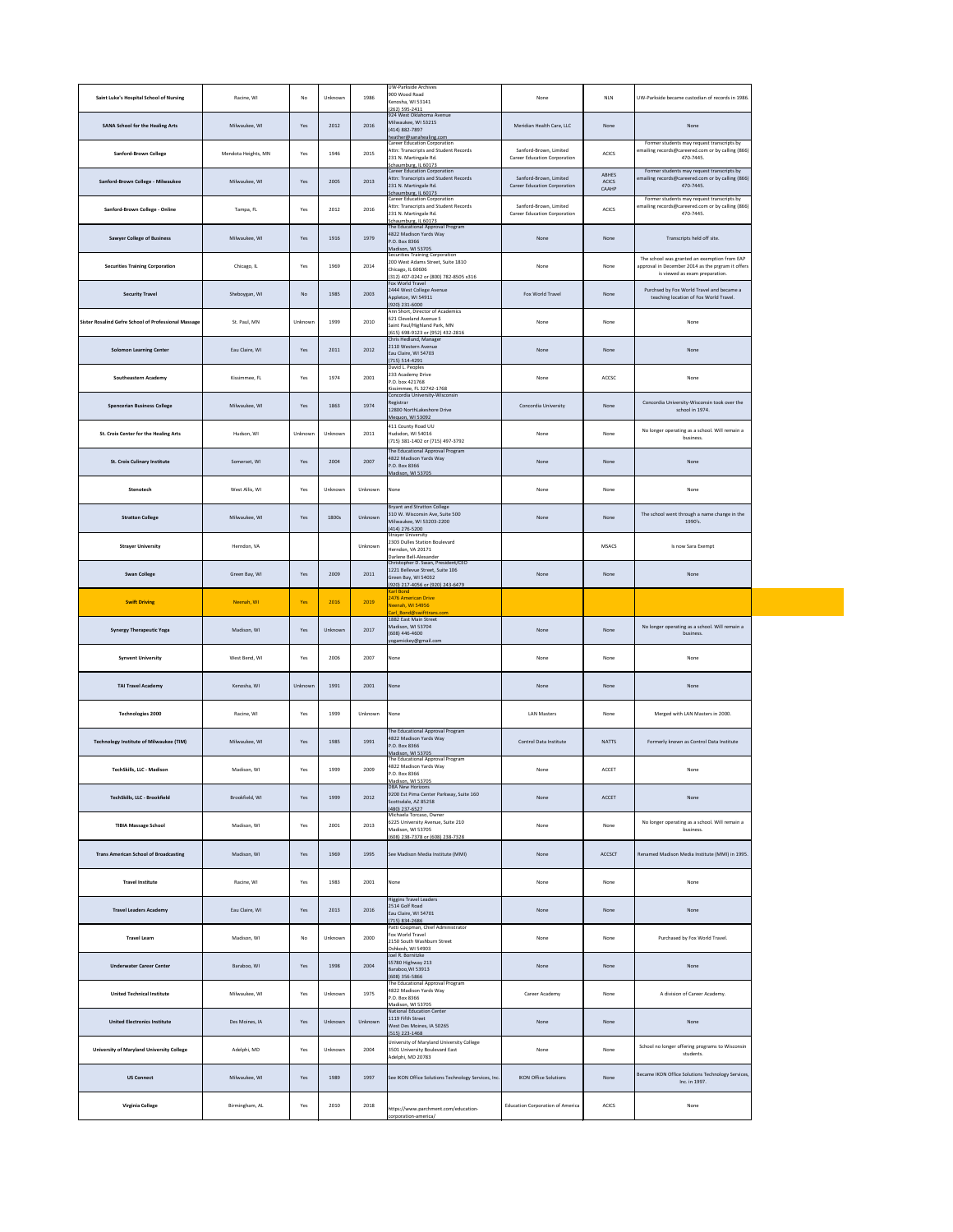| Saint Luke's Hospital School of Nursing              | Racine, WI          | No      | Unknown | 1986    | <b>UW-Parkside Archives</b><br>900 Wood Road<br>Kenosha, WI 53141<br>(262) 595-2411                                              | None                                                          | <b>NLN</b>                     | UW-Parkside became custodian of records in 1986.                                                                                    |
|------------------------------------------------------|---------------------|---------|---------|---------|----------------------------------------------------------------------------------------------------------------------------------|---------------------------------------------------------------|--------------------------------|-------------------------------------------------------------------------------------------------------------------------------------|
| <b>SANA School for the Healing Arts</b>              | Milwaukee, WI       | Yes     | 2012    | 2016    | 924 West Oklahoma Avenue<br>Milwaukee, WI 53215<br>(414) 882-7897<br>heather@sanahealing.com                                     | Meridian Health Care, LLC                                     | None                           | None                                                                                                                                |
| <b>Sanford-Brown College</b>                         | Mendota Heights, MN | Yes     | 1946    | 2015    | Career Education Corporation<br>Attn: Transcripts and Student Records<br>231 N. Martingale Rd.<br>Schaumburg, IL 60173           | Sanford-Brown, Limited<br><b>Career Education Corporation</b> | <b>ACICS</b>                   | Former students may request transcripts by<br>emailing records@careered.com or by calling (866)<br>470-7445.                        |
| Sanford-Brown College - Milwaukee                    | Milwaukee, WI       | Yes     | 2005    | 2013    | Career Education Corporation<br>Attn: Transcripts and Student Records<br>231 N. Martingale Rd.<br>Schaumburg, IL 60173           | Sanford-Brown, Limited<br><b>Career Education Corporation</b> | ABHES<br><b>ACICS</b><br>CAAHP | Former students may request transcripts by<br>emailing records@careered.com or by calling (866)<br>470-7445.                        |
| Sanford-Brown College - Online                       | Tampa, FL           | Yes     | 2012    | 2016    | <b>Career Education Corporation</b><br>Attn: Transcripts and Student Records<br>231 N. Martingale Rd.<br>Schaumburg, IL 60173    | Sanford-Brown, Limited<br><b>Career Education Corporation</b> | <b>ACICS</b>                   | Former students may request transcripts by<br>emailing records@careered.com or by calling (866)<br>470-7445.                        |
| <b>Sawyer College of Business</b>                    | Milwaukee, WI       | Yes     | 1916    | 1979    | The Educational Approval Program<br>4822 Madison Yards Way<br>P.O. Box 8366                                                      | None                                                          | None                           | Transcripts held off site.                                                                                                          |
| <b>Securities Training Corporation</b>               | Chicago, IL         | Yes     | 1969    | 2014    | Madison, WI 53705<br><b>Securities Training Corporation</b><br>200 West Adams Street, Suite 1810<br>Chicago, IL 60606            | None                                                          | None                           | The school was granted an exemption from EAP<br>approval in December 2014 as the prgram it offers<br>is viewed as exam preparation. |
| <b>Security Travel</b>                               | Sheboygan, WI       | No      | 1985    | 2003    | (312) 407-0242 or (800) 782-8505 x316<br>Fox World Travel<br>2444 West College Avenue<br>Appleton, WI 54911                      | Fox World Travel                                              | None                           | Purchsed by Fox World Travel and became a<br>teaching location of Fox World Travel.                                                 |
| Sister Rosalind Gefre School of Professional Massage | St. Paul, MN        | Unknown | 1999    | 2010    | (920) 231-6000<br>Ann Short, Director of Academics<br>621 Cleveland Avenue S<br>Saint Paul/Highland Park, MN                     | None                                                          | None                           | None                                                                                                                                |
| <b>Solomon Learning Center</b>                       | Eau Claire, WI      | Yes     | 2011    | 2012    | (615) 698-9123 or (952) 432-2816<br>Chris Hedlund, Manager<br>2110 Western Avenue<br>Eau Claire, WI 54703                        | None                                                          | None                           | None                                                                                                                                |
| <b>Southeastern Academy</b>                          | Kissimmee, FL       | Yes     | 1974    | 2001    | $(715) 514 - 4291$<br>David L. Peoples<br>233 Academy Drive<br>P.O. box 421768                                                   | None                                                          | ACCSC                          | None                                                                                                                                |
| <b>Spencerian Business College</b>                   | Milwaukee, WI       | Yes     | 1863    | 1974    | Kissimmee, FL 32742-1768<br>Concordia University-Wisconsin<br>Registrar<br>12800 NorthLakeshore Drive                            | Concordia University                                          | None                           | Concordia University-Wisconsin took over the<br>school in 1974.                                                                     |
| St. Croix Center for the Healing Arts                | Hudson, WI          | Unknown | Unknown | 2011    | Mequon, WI 53092<br>411 County Road UU<br>Hudsdon, WI 54016<br>(715) 381-1402 or (715) 497-3792                                  | None                                                          | None                           | No longer operating as a school. Will remain a<br>business.                                                                         |
| <b>St. Croix Culinary Institute</b>                  | Somerset, WI        | Yes     | 2004    | 2007    | The Educational Approval Program<br>4822 Madison Yards Way<br>P.O. Box 8366<br>Madison, WI 53705                                 | None                                                          | None                           | None                                                                                                                                |
| Stenotech                                            | West Allis, WI      | Yes     | Unknown | Unknown | None                                                                                                                             | None                                                          | None                           | None                                                                                                                                |
| <b>Stratton College</b>                              | Milwaukee, WI       | Yes     | 1800s   | Unknown | Bryant and Stratton College<br>310 W. Wisconsin Ave, Suite 500<br>Milwaukee, WI 53203-2200<br>(414) 276-5200                     | None                                                          | None                           | The school went through a name change in the<br>1990's.                                                                             |
| <b>Strayer University</b>                            | Herndon, VA         |         |         | Unknown | <b>Strayer University</b><br>2303 Dulles Station Boulevard<br>Herndon, VA 20171<br>Darlene Bell-Alexander                        |                                                               | <b>MSACS</b>                   | Is now Sara Exempt                                                                                                                  |
| <b>Swan College</b>                                  | Green Bay, WI       | Yes     | 2009    | 2011    | Christopher D. Swan, President/CEO<br>1221 Bellevue Street, Suite 106<br>Green Bay, WI 54032<br>(920) 217-4056 or (920) 243-6479 | None                                                          | None                           | None                                                                                                                                |
|                                                      |                     |         |         |         |                                                                                                                                  |                                                               |                                |                                                                                                                                     |
| <b>Swift Driving</b>                                 | Neenah, WI          | Yes     | 2016    | 2019    | <b>Karl Bond</b><br>2476 American Drive<br>Neenah, WI 54956                                                                      |                                                               |                                |                                                                                                                                     |
| <b>Synergy Therapeutic Yoga</b>                      | Madison, WI         | Yes     | Unknown | 2017    | Carl Bond@swifttrans.com<br>1882 East Main Street<br>Madison, WI 53704<br>$(608)$ 446-4600                                       | None                                                          | None                           | No longer operating as a school. Will remain a<br>business.                                                                         |
| <b>Synvent University</b>                            | West Bend, WI       | Yes     | 2006    | 2007    | yogamickey@gmail.com<br>None                                                                                                     | None                                                          | None                           | None                                                                                                                                |
| <b>TAI Travel Academy</b>                            | Kenosha, WI         | Unknown | 1991    | 2001    | None                                                                                                                             | None                                                          | None                           | None                                                                                                                                |
| <b>Technologies 2000</b>                             | Racine, WI          | Yes     | 1999    | Unknown | None                                                                                                                             | <b>LAN Masters</b>                                            | None                           | Merged with LAN Masters in 2000.                                                                                                    |
| <b>Technology Institute of Milwaukee (TIM)</b>       | Milwaukee, WI       | Yes     | 1985    | 1991    | The Educational Approval Program<br>4822 Madison Yards Way<br>P.O. Box 8366<br>Madison, WI 53705                                 | <b>Control Data Institute</b>                                 | <b>NATTS</b>                   | Formerly known as Control Data Institute                                                                                            |
| <b>TechSkills, LLC - Madison</b>                     | Madison, WI         | Yes     | 1999    | 2009    | The Educational Approval Program<br>4822 Madison Yards Way<br>P.O. Box 8366<br>Madison, WI 53705                                 | None                                                          | ACCET                          | None                                                                                                                                |
| TechSkills, LLC - Brookfield                         | Brookfield, WI      | Yes     | 1999    | 2012    | <b>DBA New Horizons</b><br>9200 Est Pima Center Parkway, Suite 160<br>Scottsdale, AZ 85258<br>(480) 237-6527                     | None                                                          | ACCET                          | None                                                                                                                                |
| <b>TIBIA Massage School</b>                          | Madison, WI         | Yes     | 2001    | 2013    | Michaela Torcaso, Owner<br>6225 University Avenue, Suite 210<br>Madison, WI 53705<br>(608) 238-7378 or (608) 238-7328            | None                                                          | None                           | No longer operating as a school. Will remain a<br>business.                                                                         |
| <b>Trans American School of Broadcasting</b>         | Madison, WI         | Yes     | 1969    | 1995    | See Madison Media Institute (MMI)                                                                                                | None                                                          | ACCSCT                         | Renamed Madison Media Institute (MMI) in 1995.                                                                                      |
| <b>Travel Institute</b>                              | Racine, WI          | Yes     | 1983    | 2001    | None                                                                                                                             | None                                                          | None                           | None                                                                                                                                |
| <b>Travel Leaders Academy</b>                        | Eau Claire, WI      | Yes     | 2013    | 2016    | <b>Higgins Travel Leaders</b><br>2514 Golf Road<br>Eau Claire, WI 54701<br>(715) 834-2686                                        | None                                                          | None                           | None                                                                                                                                |
| <b>Travel Learn</b>                                  | Madison, WI         | No      | Unknown | 2000    | Patti Coopman, Chief Administrator<br>Fox World Travel<br>2150 South Washburn Street<br>Oshkosh, WI 54903                        | None                                                          | None                           | Purchased by Fox World Travel.                                                                                                      |
| <b>Underwater Career Center</b>                      | Baraboo, WI         | Yes     | 1998    | 2004    | Joel R. Bornitzke<br>S5780 Highway 213<br>Baraboo, WI 53913<br>(608) 356-5866                                                    | None                                                          | None                           | None                                                                                                                                |
| <b>United Technical Institute</b>                    | Milwaukee, WI       | Yes     | Unknown | 1975    | The Educational Approval Program<br>4822 Madison Yards Way<br>P.O. Box 8366<br>Madison, WI 53705                                 | Career Academy                                                | None                           | A division of Career Academy.                                                                                                       |
| <b>United Electronics Institute</b>                  | Des Moines, IA      | Yes     | Unknown | Unknown | <b>National Education Center</b><br>1119 Fifth Street<br>West Des Moines, IA 50265<br>(515) 223-1468                             | None                                                          | None                           | None                                                                                                                                |
| <b>University of Maryland University College</b>     | Adelphi, MD         | Yes     | Unknown | 2004    | University of Maryland University College<br>3501 University Boulevard East<br>Adelphi, MD 20783                                 | None                                                          | None                           | School no longer offering programs to Wisconsin<br>students.                                                                        |

| Virginia College | Birmingham, AL | $V_{\alpha\alpha}$<br>נ גע | 2010 | 2018 | https://www.parchment.com/education- | <b>Education Corporation of America</b> | <b>ACICS</b> | None |
|------------------|----------------|----------------------------|------|------|--------------------------------------|-----------------------------------------|--------------|------|
|------------------|----------------|----------------------------|------|------|--------------------------------------|-----------------------------------------|--------------|------|